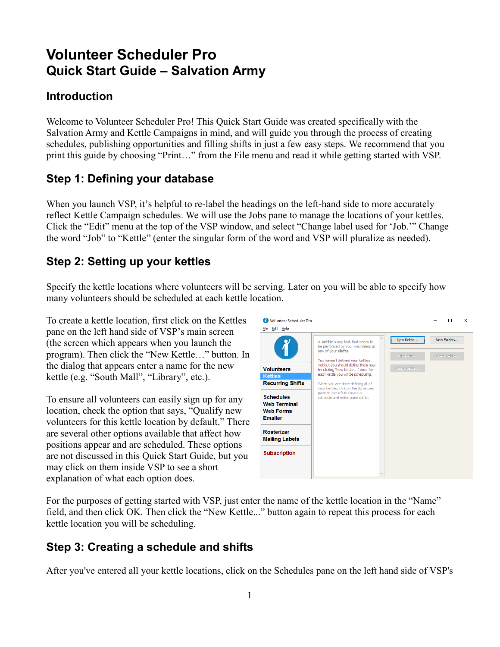# **Volunteer Scheduler Pro Quick Start Guide – Salvation Army**

### **Introduction**

Welcome to Volunteer Scheduler Pro! This Quick Start Guide was created specifically with the Salvation Army and Kettle Campaigns in mind, and will guide you through the process of creating schedules, publishing opportunities and filling shifts in just a few easy steps. We recommend that you print this guide by choosing "Print…" from the File menu and read it while getting started with VSP.

### **Step 1: Defining your database**

When you launch VSP, it's helpful to re-label the headings on the left-hand side to more accurately reflect Kettle Campaign schedules. We will use the Jobs pane to manage the locations of your kettles. Click the "Edit" menu at the top of the VSP window, and select "Change label used for 'Job.'" Change the word "Job" to "Kettle" (enter the singular form of the word and VSP will pluralize as needed).

### **Step 2: Setting up your kettles**

Specify the kettle locations where volunteers will be serving. Later on you will be able to specify how many volunteers should be scheduled at each kettle location.

To create a kettle location, first click on the Kettles pane on the left hand side of VSP's main screen (the screen which appears when you launch the program). Then click the "New Kettle…" button. In the dialog that appears enter a name for the new kettle (e.g. "South Mall", "Library", etc.).

To ensure all volunteers can easily sign up for any location, check the option that says, "Qualify new volunteers for this kettle location by default." There are several other options available that affect how positions appear and are scheduled. These options are not discussed in this Quick Start Guide, but you may click on them inside VSP to see a short explanation of what each option does.



For the purposes of getting started with VSP, just enter the name of the kettle location in the "Name" field, and then click OK. Then click the "New Kettle..." button again to repeat this process for each kettle location you will be scheduling.

## **Step 3: Creating a schedule and shifts**

After you've entered all your kettle locations, click on the Schedules pane on the left hand side of VSP's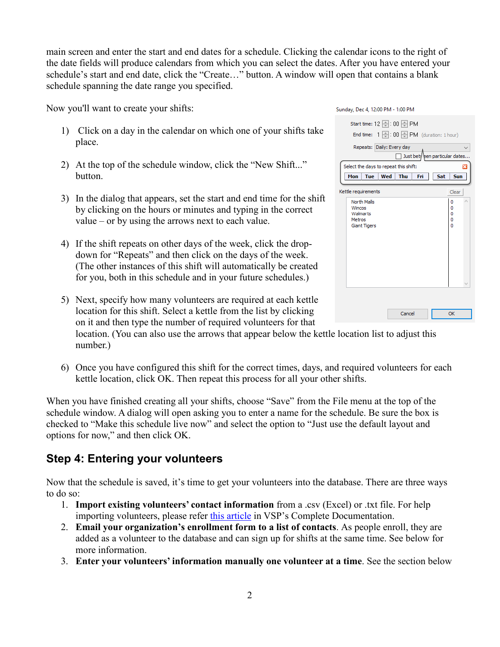main screen and enter the start and end dates for a schedule. Clicking the calendar icons to the right of the date fields will produce calendars from which you can select the dates. After you have entered your schedule's start and end date, click the "Create…" button. A window will open that contains a blank schedule spanning the date range you specified.

Now you'll want to create your shifts:

- 1) Click on a day in the calendar on which one of your shifts take place.
- 2) At the top of the schedule window, click the "New Shift..." button.
- 3) In the dialog that appears, set the start and end time for the shift by clicking on the hours or minutes and typing in the correct value – or by using the arrows next to each value.
- 4) If the shift repeats on other days of the week, click the dropdown for "Repeats" and then click on the days of the week. (The other instances of this shift will automatically be created for you, both in this schedule and in your future schedules.)

| Sunday, Dec 4, 12:00 PM - 1:00 PM                                                         |                       |
|-------------------------------------------------------------------------------------------|-----------------------|
| Start time: 12 - : 00 - PM<br>End time: $1 \oplus 00 \oplus \text{PM}$ (duration: 1 hour) |                       |
| Repeats: Daily: Every day<br>Just bety een particular dates                               |                       |
| Select the days to repeat this shift:                                                     | ×                     |
| <b>Thu</b><br>Mon<br><b>Tue</b><br>Wed<br>Sat<br>Fri                                      | <b>Sun</b>            |
| Kettle requirements                                                                       | Clear                 |
| North Malls<br>Wincos<br>Walmarts<br>Metros<br><b>Giant Tigers</b>                        | 0<br>0<br>0<br>o<br>Ō |
|                                                                                           |                       |
|                                                                                           |                       |
| Cancel                                                                                    | OK                    |

5) Next, specify how many volunteers are required at each kettle location for this shift. Select a kettle from the list by clicking on it and then type the number of required volunteers for that

location. (You can also use the arrows that appear below the kettle location list to adjust this number.)

6) Once you have configured this shift for the correct times, days, and required volunteers for each kettle location, click OK. Then repeat this process for all your other shifts.

When you have finished creating all your shifts, choose "Save" from the File menu at the top of the schedule window. A dialog will open asking you to enter a name for the schedule. Be sure the box is checked to "Make this schedule live now" and select the option to "Just use the default layout and options for now," and then click OK.

### **Step 4: Entering your volunteers**

Now that the schedule is saved, it's time to get your volunteers into the database. There are three ways to do so:

- 1. **Import existing volunteers' contact information** from a .csv (Excel) or .txt file. For help importing volunteers, please refer [this article](http://rotundasoftware.screenstepslive.com/s/VSP/m/setting_up_vsp/l/6802-how-do-i-import-my-volunteers-from-a-spreadsheet) in VSP's Complete Documentation.
- 2. **Email your organization's enrollment form to a list of contacts**. As people enroll, they are added as a volunteer to the database and can sign up for shifts at the same time. See below for more information.
- 3. **Enter your volunteers' information manually one volunteer at a time**. See the section below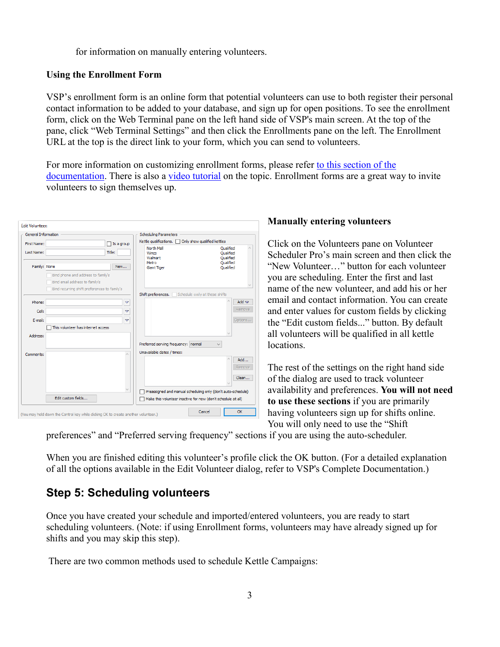for information on manually entering volunteers.

#### **Using the Enrollment Form**

VSP's enrollment form is an online form that potential volunteers can use to both register their personal contact information to be added to your database, and sign up for open positions. To see the enrollment form, click on the Web Terminal pane on the left hand side of VSP's main screen. At the top of the pane, click "Web Terminal Settings" and then click the Enrollments pane on the left. The Enrollment URL at the top is the direct link to your form, which you can send to volunteers.

For more information on customizing enrollment forms, please refer [to this section of the](http://www.rotundasoftware.com/volunteerschedulerpro/resources/onlineDocumentation/1/en/topic/web-terminal-settings#Enrollments)  [documentation.](http://www.rotundasoftware.com/volunteerschedulerpro/resources/onlineDocumentation/1/en/topic/web-terminal-settings#Enrollments) There is also a [video tutorial](http://www.rotundasoftware.com/volunteerschedulerpro/common/tutorials/playTutorial.php?demoID=86) on the topic. Enrollment forms are a great way to invite volunteers to sign themselves up.



#### **Manually entering volunteers**

Click on the Volunteers pane on Volunteer Scheduler Pro's main screen and then click the "New Volunteer…" button for each volunteer you are scheduling. Enter the first and last name of the new volunteer, and add his or her email and contact information. You can create and enter values for custom fields by clicking the "Edit custom fields..." button. By default all volunteers will be qualified in all kettle locations.

The rest of the settings on the right hand side of the dialog are used to track volunteer availability and preferences. **You will not need to use these sections** if you are primarily having volunteers sign up for shifts online. You will only need to use the "Shift

preferences" and "Preferred serving frequency" sections if you are using the auto-scheduler.

When you are finished editing this volunteer's profile click the OK button. (For a detailed explanation of all the options available in the Edit Volunteer dialog, refer to VSP's Complete Documentation.)

### **Step 5: Scheduling volunteers**

Once you have created your schedule and imported/entered volunteers, you are ready to start scheduling volunteers. (Note: if using Enrollment forms, volunteers may have already signed up for shifts and you may skip this step).

There are two common methods used to schedule Kettle Campaigns: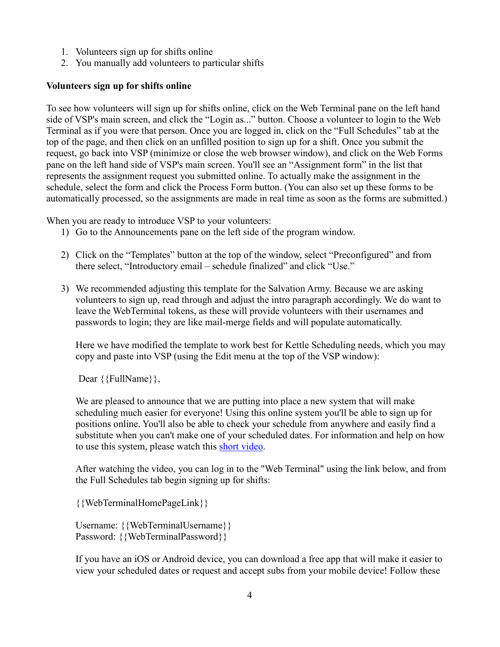- 1. Volunteers sign up for shifts online
- 2. You manually add volunteers to particular shifts

#### **Volunteers sign up for shifts online**

To see how volunteers will sign up for shifts online, click on the Web Terminal pane on the left hand side of VSP's main screen, and click the "Login as..." button. Choose a volunteer to login to the Web Terminal as if you were that person. Once you are logged in, click on the "Full Schedules" tab at the top of the page, and then click on an unfilled position to sign up for a shift. Once you submit the request, go back into VSP (minimize or close the web browser window), and click on the Web Forms pane on the left hand side of VSP's main screen. You'll see an "Assignment form" in the list that represents the assignment request you submitted online. To actually make the assignment in the schedule, select the form and click the Process Form button. (You can also set up these forms to be automatically processed, so the assignments are made in real time as soon as the forms are submitted.)

When you are ready to introduce VSP to your volunteers:

- 1) Go to the Announcements pane on the left side of the program window.
- 2) Click on the "Templates" button at the top of the window, select "Preconfigured" and from there select, "Introductory email – schedule finalized" and click "Use."
- 3) We recommended adjusting this template for the Salvation Army. Because we are asking volunteers to sign up, read through and adjust the intro paragraph accordingly. We do want to leave the WebTerminal tokens, as these will provide volunteers with their usernames and passwords to login; they are like mail-merge fields and will populate automatically.

Here we have modified the template to work best for Kettle Scheduling needs, which you may copy and paste into VSP (using the Edit menu at the top of the VSP window):

Dear {{FullName}},

We are pleased to announce that we are putting into place a new system that will make scheduling much easier for everyone! Using this online system you'll be able to sign up for positions online. You'll also be able to check your schedule from anywhere and easily find a substitute when you can't make one of your scheduled dates. For information and help on how to use this system, please watch this [short video.](http://www.rotundasoftware.com/volunteerschedulerpro/common/tutorials/playTutorial.php?demoID=59)

After watching the video, you can log in to the "Web Terminal" using the link below, and from the Full Schedules tab begin signing up for shifts:

{{WebTerminalHomePageLink}}

Username: {{WebTerminalUsername}} Password: {{WebTerminalPassword}}

If you have an iOS or Android device, you can download a free app that will make it easier to view your scheduled dates or request and accept subs from your mobile device! Follow these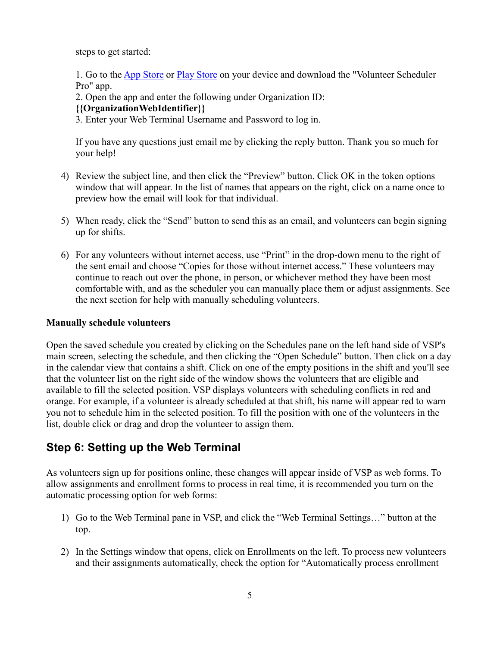steps to get started:

1. Go to th[e App Store](https://itunes.apple.com/us/app/volunteer-scheduler-pro/id841132910?mt=8) or [Play Store](https://play.google.com/store/apps/details?id=com.rotunda.common.vsp) on your device and download the "Volunteer Scheduler Pro" app.

2. Open the app and enter the following under Organization ID:

#### **{{OrganizationWebIdentifier}}**

3. Enter your Web Terminal Username and Password to log in.

If you have any questions just email me by clicking the reply button. Thank you so much for your help!

- 4) Review the subject line, and then click the "Preview" button. Click OK in the token options window that will appear. In the list of names that appears on the right, click on a name once to preview how the email will look for that individual.
- 5) When ready, click the "Send" button to send this as an email, and volunteers can begin signing up for shifts.
- 6) For any volunteers without internet access, use "Print" in the drop-down menu to the right of the sent email and choose "Copies for those without internet access." These volunteers may continue to reach out over the phone, in person, or whichever method they have been most comfortable with, and as the scheduler you can manually place them or adjust assignments. See the next section for help with manually scheduling volunteers.

#### **Manually schedule volunteers**

Open the saved schedule you created by clicking on the Schedules pane on the left hand side of VSP's main screen, selecting the schedule, and then clicking the "Open Schedule" button. Then click on a day in the calendar view that contains a shift. Click on one of the empty positions in the shift and you'll see that the volunteer list on the right side of the window shows the volunteers that are eligible and available to fill the selected position. VSP displays volunteers with scheduling conflicts in red and orange. For example, if a volunteer is already scheduled at that shift, his name will appear red to warn you not to schedule him in the selected position. To fill the position with one of the volunteers in the list, double click or drag and drop the volunteer to assign them.

### **Step 6: Setting up the Web Terminal**

As volunteers sign up for positions online, these changes will appear inside of VSP as web forms. To allow assignments and enrollment forms to process in real time, it is recommended you turn on the automatic processing option for web forms:

- 1) Go to the Web Terminal pane in VSP, and click the "Web Terminal Settings…" button at the top.
- 2) In the Settings window that opens, click on Enrollments on the left. To process new volunteers and their assignments automatically, check the option for "Automatically process enrollment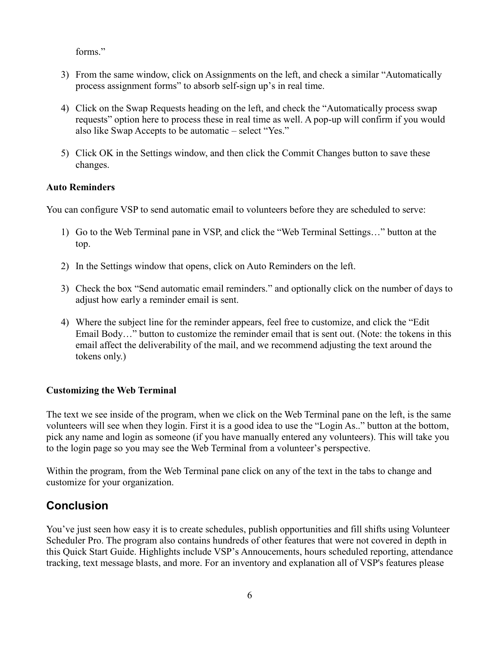forms."

- 3) From the same window, click on Assignments on the left, and check a similar "Automatically process assignment forms" to absorb self-sign up's in real time.
- 4) Click on the Swap Requests heading on the left, and check the "Automatically process swap requests" option here to process these in real time as well. A pop-up will confirm if you would also like Swap Accepts to be automatic – select "Yes."
- 5) Click OK in the Settings window, and then click the Commit Changes button to save these changes.

#### **Auto Reminders**

You can configure VSP to send automatic email to volunteers before they are scheduled to serve:

- 1) Go to the Web Terminal pane in VSP, and click the "Web Terminal Settings…" button at the top.
- 2) In the Settings window that opens, click on Auto Reminders on the left.
- 3) Check the box "Send automatic email reminders." and optionally click on the number of days to adjust how early a reminder email is sent.
- 4) Where the subject line for the reminder appears, feel free to customize, and click the "Edit Email Body…" button to customize the reminder email that is sent out. (Note: the tokens in this email affect the deliverability of the mail, and we recommend adjusting the text around the tokens only.)

#### **Customizing the Web Terminal**

The text we see inside of the program, when we click on the Web Terminal pane on the left, is the same volunteers will see when they login. First it is a good idea to use the "Login As.." button at the bottom, pick any name and login as someone (if you have manually entered any volunteers). This will take you to the login page so you may see the Web Terminal from a volunteer's perspective.

Within the program, from the Web Terminal pane click on any of the text in the tabs to change and customize for your organization.

### **Conclusion**

You've just seen how easy it is to create schedules, publish opportunities and fill shifts using Volunteer Scheduler Pro. The program also contains hundreds of other features that were not covered in depth in this Quick Start Guide. Highlights include VSP's Annoucements, hours scheduled reporting, attendance tracking, text message blasts, and more. For an inventory and explanation all of VSP's features please